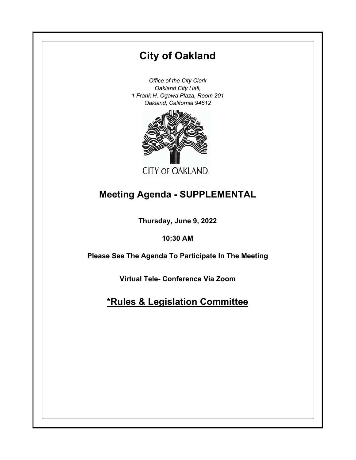# **City of Oakland**

*Office of the City Clerk Oakland City Hall, 1 Frank H. Ogawa Plaza, Room 201 Oakland, California 94612*



# **Meeting Agenda - SUPPLEMENTAL**

**Thursday, June 9, 2022**

**10:30 AM**

**Please See The Agenda To Participate In The Meeting**

**Virtual Tele- Conference Via Zoom**

**\*Rules & Legislation Committee**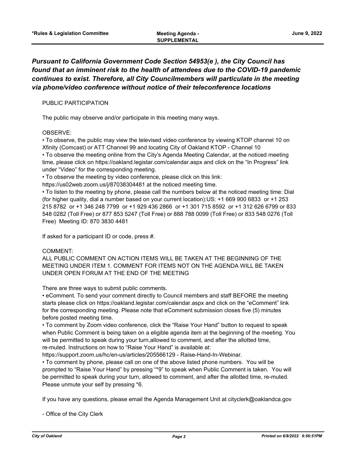## *Pursuant to California Government Code Section 54953(e ), the City Council has found that an imminent risk to the health of attendees due to the COVID-19 pandemic continues to exist. Therefore, all City Councilmembers will particulate in the meeting via phone/video conference without notice of their teleconference locations*

#### PUBLIC PARTICIPATION

The public may observe and/or participate in this meeting many ways.

#### OBSERVE:

• To observe, the public may view the televised video conference by viewing KTOP channel 10 on Xfinity (Comcast) or ATT Channel 99 and locating City of Oakland KTOP - Channel 10 • To observe the meeting online from the City's Agenda Meeting Calendar, at the noticed meeting time, please click on https://oakland.legistar.com/calendar.aspx and click on the "In Progress" link under "Video" for the corresponding meeting.

• To observe the meeting by video conference, please click on this link:

https://us02web.zoom.us/j/87038304481 at the noticed meeting time.

• To listen to the meeting by phone, please call the numbers below at the noticed meeting time: Dial (for higher quality, dial a number based on your current location):US: +1 669 900 6833 or +1 253 215 8782 or +1 346 248 7799 or +1 929 436 2866 or +1 301 715 8592 or +1 312 626 6799 or 833 548 0282 (Toll Free) or 877 853 5247 (Toll Free) or 888 788 0099 (Toll Free) or 833 548 0276 (Toll Free) Meeting ID: 870 3830 4481

If asked for a participant ID or code, press #.

#### COMMENT:

ALL PUBLIC COMMENT ON ACTION ITEMS WILL BE TAKEN AT THE BEGINNING OF THE MEETING UNDER ITEM 1. COMMENT FOR ITEMS NOT ON THE AGENDA WILL BE TAKEN UNDER OPEN FORUM AT THE END OF THE MEETING

There are three ways to submit public comments.

• eComment. To send your comment directly to Council members and staff BEFORE the meeting starts please click on https://oakland.legistar.com/calendar.aspx and click on the "eComment" link for the corresponding meeting. Please note that eComment submission closes five (5) minutes before posted meeting time.

• To comment by Zoom video conference, click the "Raise Your Hand" button to request to speak when Public Comment is being taken on a eligible agenda item at the beginning of the meeting. You will be permitted to speak during your turn,allowed to comment, and after the allotted time, re-muted. Instructions on how to "Raise Your Hand" is available at:

https://support.zoom.us/hc/en-us/articles/205566129 - Raise-Hand-In-Webinar.

• To comment by phone, please call on one of the above listed phone numbers. You will be prompted to "Raise Your Hand" by pressing "\*9" to speak when Public Comment is taken. You will be permitted to speak during your turn, allowed to comment, and after the allotted time, re-muted. Please unmute your self by pressing \*6.

If you have any questions, please email the Agenda Management Unit at cityclerk@oaklandca.gov

- Office of the City Clerk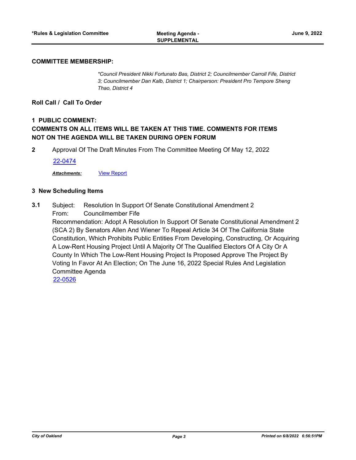#### **COMMITTEE MEMBERSHIP:**

*\*Council President Nikki Fortunato Bas, District 2; Councilmember Carroll Fife, District 3; Councilmember Dan Kalb, District 1; Chairperson: President Pro Tempore Sheng Thao, District 4*

#### **Roll Call / Call To Order**

### **1 PUBLIC COMMENT: COMMENTS ON ALL ITEMS WILL BE TAKEN AT THIS TIME. COMMENTS FOR ITEMS NOT ON THE AGENDA WILL BE TAKEN DURING OPEN FORUM**

**2** Approval Of The Draft Minutes From The Committee Meeting Of May 12, 2022

[22-0474](http://oakland.legistar.com/gateway.aspx?m=l&id=/matter.aspx?key=33394)

*Attachments:* [View Report](http://oakland.legistar.com/gateway.aspx?M=F&ID=a89ecf93-30e8-48d1-96e5-9ac21a749eea.pdf)

#### **3 New Scheduling Items**

Subject: Resolution In Support Of Senate Constitutional Amendment 2 From: Councilmember Fife **3.1**

Recommendation: Adopt A Resolution In Support Of Senate Constitutional Amendment 2 (SCA 2) By Senators Allen And Wiener To Repeal Article 34 Of The California State Constitution, Which Prohibits Public Entities From Developing, Constructing, Or Acquiring A Low-Rent Housing Project Until A Majority Of The Qualified Electors Of A City Or A County In Which The Low-Rent Housing Project Is Proposed Approve The Project By Voting In Favor At An Election; On The June 16, 2022 Special Rules And Legislation Committee Agenda

[22-0526](http://oakland.legistar.com/gateway.aspx?m=l&id=/matter.aspx?key=33446)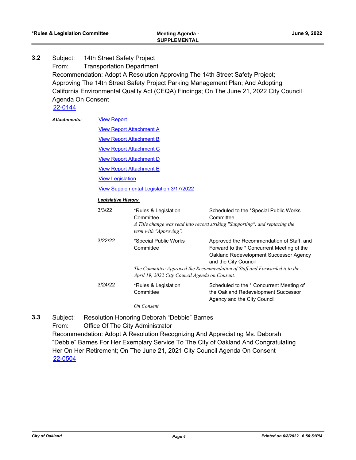Subject: 14th Street Safety Project From: Transportation Department Recommendation: Adopt A Resolution Approving The 14th Street Safety Project; Approving The 14th Street Safety Project Parking Management Plan; And Adopting California Environmental Quality Act (CEQA) Findings; On The June 21, 2022 City Council Agenda On Consent **3.2**

[22-0144](http://oakland.legistar.com/gateway.aspx?m=l&id=/matter.aspx?key=33065)

[View Report](http://oakland.legistar.com/gateway.aspx?M=F&ID=02b029bb-99a1-4c80-a5f9-df2cde233128.pdf) *Attachments:*

**[View Report Attachment A](http://oakland.legistar.com/gateway.aspx?M=F&ID=6e118806-a0eb-44ef-a614-19f68762a85f.pdf)** 

[View Report Attachment B](http://oakland.legistar.com/gateway.aspx?M=F&ID=75648362-60d3-4d10-94d8-f5ec35e0a6ca.pdf)

[View Report Attachment C](http://oakland.legistar.com/gateway.aspx?M=F&ID=e3da08fa-b5a3-461a-bacd-ab12312eba08.pdf)

[View Report Attachment D](http://oakland.legistar.com/gateway.aspx?M=F&ID=56e2e75c-c9ad-438d-84d6-f33d2e5966e8.pdf)

**[View Report Attachment E](http://oakland.legistar.com/gateway.aspx?M=F&ID=59f0dd1e-c218-4bbd-b741-9cadd0f570cf.pdf)** 

**[View Legislation](http://oakland.legistar.com/gateway.aspx?M=F&ID=bb922365-21ae-405f-956d-e4b3386322a5.pdf)** 

[View Supplemental Legislation 3/17/2022](http://oakland.legistar.com/gateway.aspx?M=F&ID=de605945-8d88-444f-978b-101c4ce1941b.pdf)

#### *Legislative History*

| 3/3/22  | *Rules & Legislation<br>Committee<br>term with "Approving".                          | Scheduled to the *Special Public Works<br>Committee<br>A Title change was read into record striking "Supporting", and replacing the                                                                                                     |
|---------|--------------------------------------------------------------------------------------|-----------------------------------------------------------------------------------------------------------------------------------------------------------------------------------------------------------------------------------------|
| 3/22/22 | *Special Public Works<br>Committee<br>April 19, 2022 City Council Agenda on Consent. | Approved the Recommendation of Staff, and<br>Forward to the * Concurrent Meeting of the<br>Oakland Redevelopment Successor Agency<br>and the City Council<br>The Committee Approved the Recommendation of Staff and Forwarded it to the |
| 3/24/22 | *Rules & Legislation<br>Committee<br>On Consent.                                     | Scheduled to the * Concurrent Meeting of<br>the Oakland Redevelopment Successor<br>Agency and the City Council                                                                                                                          |

Subject: Resolution Honoring Deborah "Debbie" Barnes **3.3**

From: Office Of The City Administrator

Recommendation: Adopt A Resolution Recognizing And Appreciating Ms. Deborah "Debbie" Barnes For Her Exemplary Service To The City of Oakland And Congratulating Her On Her Retirement; On The June 21, 2021 City Council Agenda On Consent [22-0504](http://oakland.legistar.com/gateway.aspx?m=l&id=/matter.aspx?key=33424)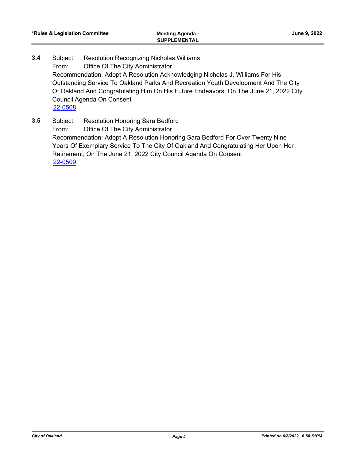- Subject: Resolution Recognizing Nicholas Williams From: Office Of The City Administrator Recommendation: Adopt A Resolution Acknowledging Nicholas J. Williams For His Outstanding Service To Oakland Parks And Recreation Youth Development And The City Of Oakland And Congratulating Him On His Future Endeavors; On The June 21, 2022 City Council Agenda On Consent **3.4** [22-0508](http://oakland.legistar.com/gateway.aspx?m=l&id=/matter.aspx?key=33428)
- Subject: Resolution Honoring Sara Bedford From: Office Of The City Administrator Recommendation: Adopt A Resolution Honoring Sara Bedford For Over Twenty Nine Years Of Exemplary Service To The City Of Oakland And Congratulating Her Upon Her Retirement; On The June 21, 2022 City Council Agenda On Consent **3.5** [22-0509](http://oakland.legistar.com/gateway.aspx?m=l&id=/matter.aspx?key=33429)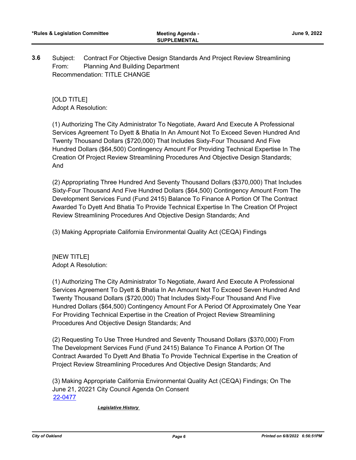Subject: Contract For Objective Design Standards And Project Review Streamlining From: Planning And Building Department Recommendation: TITLE CHANGE **3.6**

[OLD TITLE] Adopt A Resolution:

(1) Authorizing The City Administrator To Negotiate, Award And Execute A Professional Services Agreement To Dyett & Bhatia In An Amount Not To Exceed Seven Hundred And Twenty Thousand Dollars (\$720,000) That Includes Sixty-Four Thousand And Five Hundred Dollars (\$64,500) Contingency Amount For Providing Technical Expertise In The Creation Of Project Review Streamlining Procedures And Objective Design Standards; And

(2) Appropriating Three Hundred And Seventy Thousand Dollars (\$370,000) That Includes Sixty-Four Thousand And Five Hundred Dollars (\$64,500) Contingency Amount From The Development Services Fund (Fund 2415) Balance To Finance A Portion Of The Contract Awarded To Dyett And Bhatia To Provide Technical Expertise In The Creation Of Project Review Streamlining Procedures And Objective Design Standards; And

(3) Making Appropriate California Environmental Quality Act (CEQA) Findings

[NEW TITLE] Adopt A Resolution:

(1) Authorizing The City Administrator To Negotiate, Award And Execute A Professional Services Agreement To Dyett & Bhatia In An Amount Not To Exceed Seven Hundred And Twenty Thousand Dollars (\$720,000) That Includes Sixty-Four Thousand And Five Hundred Dollars (\$64,500) Contingency Amount For A Period Of Approximately One Year For Providing Technical Expertise in the Creation of Project Review Streamlining Procedures And Objective Design Standards; And

(2) Requesting To Use Three Hundred and Seventy Thousand Dollars (\$370,000) From The Development Services Fund (Fund 2415) Balance To Finance A Portion Of The Contract Awarded To Dyett And Bhatia To Provide Technical Expertise in the Creation of Project Review Streamlining Procedures And Objective Design Standards; And

(3) Making Appropriate California Environmental Quality Act (CEQA) Findings; On The June 21, 20221 City Council Agenda On Consent [22-0477](http://oakland.legistar.com/gateway.aspx?m=l&id=/matter.aspx?key=33397)

*Legislative History*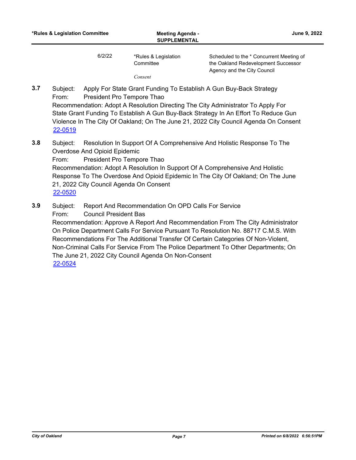*Consent*

Agency and the City Council

Subject: Apply For State Grant Funding To Establish A Gun Buy-Back Strategy From: President Pro Tempore Thao Recommendation: Adopt A Resolution Directing The City Administrator To Apply For State Grant Funding To Establish A Gun Buy-Back Strategy In An Effort To Reduce Gun Violence In The City Of Oakland; On The June 21, 2022 City Council Agenda On Consent **3.7**

- Subject: Resolution In Support Of A Comprehensive And Holistic Response To The Overdose And Opioid Epidemic From: President Pro Tempore Thao Recommendation: Adopt A Resolution In Support Of A Comprehensive And Holistic Response To The Overdose And Opioid Epidemic In The City Of Oakland; On The June 21, 2022 City Council Agenda On Consent **3.8** [22-0520](http://oakland.legistar.com/gateway.aspx?m=l&id=/matter.aspx?key=33440)
- Subject: Report And Recommendation On OPD Calls For Service **3.9**
	- From: Council President Bas

[22-0519](http://oakland.legistar.com/gateway.aspx?m=l&id=/matter.aspx?key=33439)

Recommendation: Approve A Report And Recommendation From The City Administrator On Police Department Calls For Service Pursuant To Resolution No. 88717 C.M.S. With Recommendations For The Additional Transfer Of Certain Categories Of Non-Violent, Non-Criminal Calls For Service From The Police Department To Other Departments; On The June 21, 2022 City Council Agenda On Non-Consent [22-0524](http://oakland.legistar.com/gateway.aspx?m=l&id=/matter.aspx?key=33444)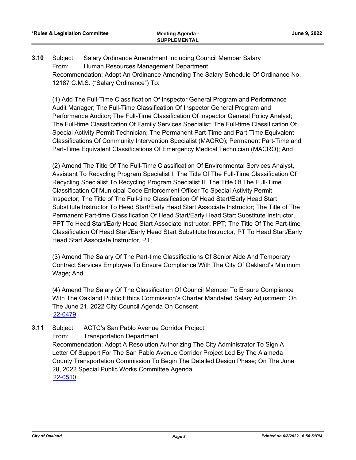Subject: Salary Ordinance Amendment Including Council Member Salary From: Human Resources Management Department Recommendation: Adopt An Ordinance Amending The Salary Schedule Of Ordinance No. 12187 C.M.S. ("Salary Ordinance") To: **3.10**

(1) Add The Full-Time Classification Of Inspector General Program and Performance Audit Manager; The Full-Time Classification Of Inspector General Program and Performance Auditor; The Full-Time Classification Of Inspector General Policy Analyst; The Full-time Classification Of Family Services Specialist; The Full-time Classification Of Special Activity Permit Technician; The Permanent Part-Time and Part-Time Equivalent Classifications Of Community Intervention Specialist (MACRO); Permanent Part-Time and Part-Time Equivalent Classifications Of Emergency Medical Technician (MACRO); And

(2) Amend The Title Of The Full-Time Classification Of Environmental Services Analyst, Assistant To Recycling Program Specialist I; The Title Of The Full-Time Classification Of Recycling Specialist To Recycling Program Specialist II; The Title Of The Full-Time Classification Of Municipal Code Enforcement Officer To Special Activity Permit Inspector; The Title of The Full-time Classification Of Head Start/Early Head Start Substitute Instructor To Head Start/Early Head Start Associate Instructor; The Title of The Permanent Part-time Classification Of Head Start/Early Head Start Substitute Instructor, PPT To Head Start/Early Head Start Associate Instructor, PPT; The Title Of The Part-time Classification Of Head Start/Early Head Start Substitute Instructor, PT To Head Start/Early Head Start Associate Instructor, PT;

(3) Amend The Salary Of The Part-time Classifications Of Senior Aide And Temporary Contract Services Employee To Ensure Compliance With The City Of Oakland's Minimum Wage; And

(4) Amend The Salary Of The Classification Of Council Member To Ensure Compliance With The Oakland Public Ethics Commission's Charter Mandated Salary Adjustment; On The June 21, 2022 City Council Agenda On Consent [22-0479](http://oakland.legistar.com/gateway.aspx?m=l&id=/matter.aspx?key=33399)

Subject: ACTC's San Pablo Avenue Corridor Project From: Transportation Department Recommendation: Adopt A Resolution Authorizing The City Administrator To Sign A Letter Of Support For The San Pablo Avenue Corridor Project Led By The Alameda County Transportation Commission To Begin The Detailed Design Phase; On The June 28, 2022 Special Public Works Committee Agenda **3.11** [22-0510](http://oakland.legistar.com/gateway.aspx?m=l&id=/matter.aspx?key=33430)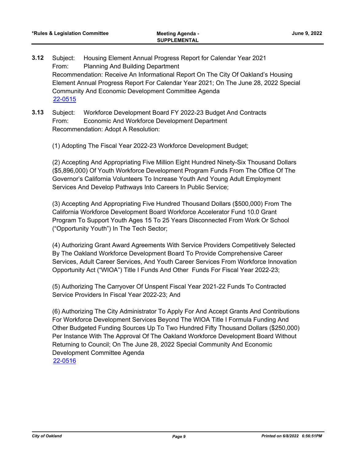- Subject: Housing Element Annual Progress Report for Calendar Year 2021 From: Planning And Building Department Recommendation: Receive An Informational Report On The City Of Oakland's Housing Element Annual Progress Report For Calendar Year 2021; On The June 28, 2022 Special Community And Economic Development Committee Agenda **3.12** [22-0515](http://oakland.legistar.com/gateway.aspx?m=l&id=/matter.aspx?key=33435)
- Subject: Workforce Development Board FY 2022-23 Budget And Contracts From: Economic And Workforce Development Department Recommendation: Adopt A Resolution: **3.13**
	- (1) Adopting The Fiscal Year 2022-23 Workforce Development Budget;

(2) Accepting And Appropriating Five Million Eight Hundred Ninety-Six Thousand Dollars (\$5,896,000) Of Youth Workforce Development Program Funds From The Office Of The Governor's California Volunteers To Increase Youth And Young Adult Employment Services And Develop Pathways Into Careers In Public Service;

(3) Accepting And Appropriating Five Hundred Thousand Dollars (\$500,000) From The California Workforce Development Board Workforce Accelerator Fund 10.0 Grant Program To Support Youth Ages 15 To 25 Years Disconnected From Work Or School ("Opportunity Youth") In The Tech Sector;

(4) Authorizing Grant Award Agreements With Service Providers Competitively Selected By The Oakland Workforce Development Board To Provide Comprehensive Career Services, Adult Career Services, And Youth Career Services From Workforce Innovation Opportunity Act ("WIOA") Title I Funds And Other Funds For Fiscal Year 2022-23;

(5) Authorizing The Carryover Of Unspent Fiscal Year 2021-22 Funds To Contracted Service Providers In Fiscal Year 2022-23; And

(6) Authorizing The City Administrator To Apply For And Accept Grants And Contributions For Workforce Development Services Beyond The WIOA Title I Formula Funding And Other Budgeted Funding Sources Up To Two Hundred Fifty Thousand Dollars (\$250,000) Per Instance With The Approval Of The Oakland Workforce Development Board Without Returning to Council; On The June 28, 2022 Special Community And Economic Development Committee Agenda [22-0516](http://oakland.legistar.com/gateway.aspx?m=l&id=/matter.aspx?key=33436)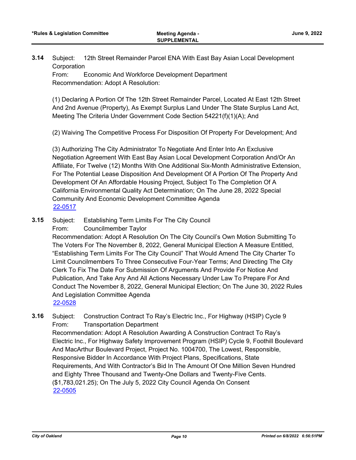Subject: 12th Street Remainder Parcel ENA With East Bay Asian Local Development **Corporation 3.14**

From: Economic And Workforce Development Department Recommendation: Adopt A Resolution:

(1) Declaring A Portion Of The 12th Street Remainder Parcel, Located At East 12th Street And 2nd Avenue (Property), As Exempt Surplus Land Under The State Surplus Land Act, Meeting The Criteria Under Government Code Section 54221(f)(1)(A); And

(2) Waiving The Competitive Process For Disposition Of Property For Development; And

(3) Authorizing The City Administrator To Negotiate And Enter Into An Exclusive Negotiation Agreement With East Bay Asian Local Development Corporation And/Or An Affiliate, For Twelve (12) Months With One Additional Six-Month Administrative Extension, For The Potential Lease Disposition And Development Of A Portion Of The Property And Development Of An Affordable Housing Project, Subject To The Completion Of A California Environmental Quality Act Determination; On The June 28, 2022 Special Community And Economic Development Committee Agenda [22-0517](http://oakland.legistar.com/gateway.aspx?m=l&id=/matter.aspx?key=33437)

Subject: Establishing Term Limits For The City Council **3.15**

From: Councilmember Taylor

Recommendation: Adopt A Resolution On The City Council's Own Motion Submitting To The Voters For The November 8, 2022, General Municipal Election A Measure Entitled, "Establishing Term Limits For The City Council" That Would Amend The City Charter To Limit Councilmembers To Three Consecutive Four-Year Terms; And Directing The City Clerk To Fix The Date For Submission Of Arguments And Provide For Notice And Publication, And Take Any And All Actions Necessary Under Law To Prepare For And Conduct The November 8, 2022, General Municipal Election; On The June 30, 2022 Rules And Legislation Committee Agenda [22-0528](http://oakland.legistar.com/gateway.aspx?m=l&id=/matter.aspx?key=33448)

Subject: Construction Contract To Ray's Electric Inc., For Highway (HSIP) Cycle 9 From: Transportation Department Recommendation: Adopt A Resolution Awarding A Construction Contract To Ray's Electric Inc., For Highway Safety Improvement Program (HSIP) Cycle 9, Foothill Boulevard And MacArthur Boulevard Project, Project No. 1004700, The Lowest, Responsible, Responsive Bidder In Accordance With Project Plans, Specifications, State Requirements, And With Contractor's Bid In The Amount Of One Million Seven Hundred and Eighty Three Thousand and Twenty-One Dollars and Twenty-Five Cents. (\$1,783,021.25); On The July 5, 2022 City Council Agenda On Consent **3.16** [22-0505](http://oakland.legistar.com/gateway.aspx?m=l&id=/matter.aspx?key=33425)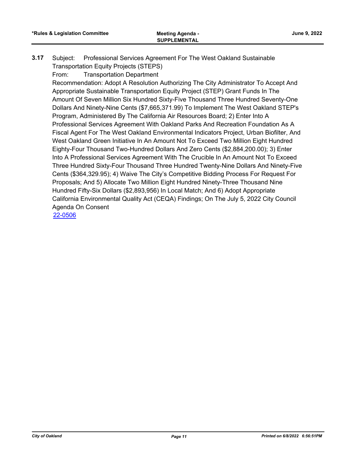- Subject: Professional Services Agreement For The West Oakland Sustainable Transportation Equity Projects (STEPS) **3.17**
	- From: Transportation Department

Recommendation: Adopt A Resolution Authorizing The City Administrator To Accept And Appropriate Sustainable Transportation Equity Project (STEP) Grant Funds In The Amount Of Seven Million Six Hundred Sixty-Five Thousand Three Hundred Seventy-One Dollars And Ninety-Nine Cents (\$7,665,371.99) To Implement The West Oakland STEP's Program, Administered By The California Air Resources Board; 2) Enter Into A Professional Services Agreement With Oakland Parks And Recreation Foundation As A Fiscal Agent For The West Oakland Environmental Indicators Project, Urban Biofilter, And West Oakland Green Initiative In An Amount Not To Exceed Two Million Eight Hundred Eighty-Four Thousand Two-Hundred Dollars And Zero Cents (\$2,884,200.00); 3) Enter Into A Professional Services Agreement With The Crucible In An Amount Not To Exceed Three Hundred Sixty-Four Thousand Three Hundred Twenty-Nine Dollars And Ninety-Five Cents (\$364,329.95); 4) Waive The City's Competitive Bidding Process For Request For Proposals; And 5) Allocate Two Million Eight Hundred Ninety-Three Thousand Nine Hundred Fifty-Six Dollars (\$2,893,956) In Local Match; And 6) Adopt Appropriate California Environmental Quality Act (CEQA) Findings; On The July 5, 2022 City Council Agenda On Consent

[22-0506](http://oakland.legistar.com/gateway.aspx?m=l&id=/matter.aspx?key=33426)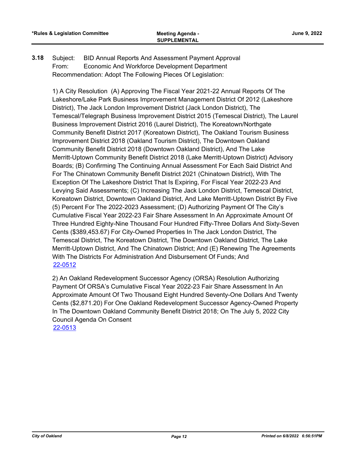Subject: BID Annual Reports And Assessment Payment Approval From: Economic And Workforce Development Department Recommendation: Adopt The Following Pieces Of Legislation: **3.18**

1) A City Resolution (A) Approving The Fiscal Year 2021-22 Annual Reports Of The Lakeshore/Lake Park Business Improvement Management District Of 2012 (Lakeshore District), The Jack London Improvement District (Jack London District), The Temescal/Telegraph Business Improvement District 2015 (Temescal District), The Laurel Business Improvement District 2016 (Laurel District), The Koreatown/Northgate Community Benefit District 2017 (Koreatown District), The Oakland Tourism Business Improvement District 2018 (Oakland Tourism District), The Downtown Oakland Community Benefit District 2018 (Downtown Oakland District), And The Lake Merritt-Uptown Community Benefit District 2018 (Lake Merritt-Uptown District) Advisory Boards; (B) Confirming The Continuing Annual Assessment For Each Said District And For The Chinatown Community Benefit District 2021 (Chinatown District), With The Exception Of The Lakeshore District That Is Expiring, For Fiscal Year 2022-23 And Levying Said Assessments; (C) Increasing The Jack London District, Temescal District, Koreatown District, Downtown Oakland District, And Lake Merritt-Uptown District By Five (5) Percent For The 2022-2023 Assessment; (D) Authorizing Payment Of The City's Cumulative Fiscal Year 2022-23 Fair Share Assessment In An Approximate Amount Of Three Hundred Eighty-Nine Thousand Four Hundred Fifty-Three Dollars And Sixty-Seven Cents (\$389,453.67) For City-Owned Properties In The Jack London District, The Temescal District, The Koreatown District, The Downtown Oakland District, The Lake Merritt-Uptown District, And The Chinatown District; And (E) Renewing The Agreements With The Districts For Administration And Disbursement Of Funds; And [22-0512](http://oakland.legistar.com/gateway.aspx?m=l&id=/matter.aspx?key=33432)

2) An Oakland Redevelopment Successor Agency (ORSA) Resolution Authorizing Payment Of ORSA's Cumulative Fiscal Year 2022-23 Fair Share Assessment In An Approximate Amount Of Two Thousand Eight Hundred Seventy-One Dollars And Twenty Cents (\$2,871.20) For One Oakland Redevelopment Successor Agency-Owned Property In The Downtown Oakland Community Benefit District 2018; On The July 5, 2022 City Council Agenda On Consent [22-0513](http://oakland.legistar.com/gateway.aspx?m=l&id=/matter.aspx?key=33433)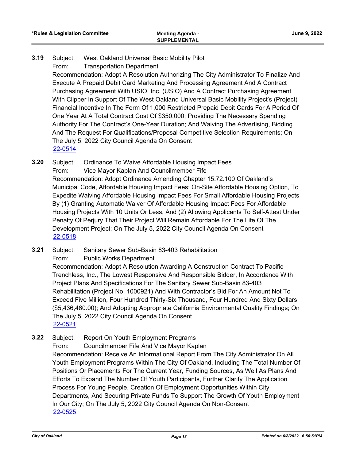#### Subject: West Oakland Universal Basic Mobility Pilot **3.19**

From: Transportation Department

Recommendation: Adopt A Resolution Authorizing The City Administrator To Finalize And Execute A Prepaid Debit Card Marketing And Processing Agreement And A Contract Purchasing Agreement With USIO, Inc. (USIO) And A Contract Purchasing Agreement With Clipper In Support Of The West Oakland Universal Basic Mobility Project's (Project) Financial Incentive In The Form Of 1,000 Restricted Prepaid Debit Cards For A Period Of One Year At A Total Contract Cost Of \$350,000; Providing The Necessary Spending Authority For The Contract's One-Year Duration; And Waiving The Advertising, Bidding And The Request For Qualifications/Proposal Competitive Selection Requirements; On The July 5, 2022 City Council Agenda On Consent [22-0514](http://oakland.legistar.com/gateway.aspx?m=l&id=/matter.aspx?key=33434)

- Subject: Ordinance To Waive Affordable Housing Impact Fees From: Vice Mayor Kaplan And Councilmember Fife Recommendation: Adopt Ordinance Amending Chapter 15.72.100 Of Oakland's Municipal Code, Affordable Housing Impact Fees: On-Site Affordable Housing Option, To Expedite Waiving Affordable Housing Impact Fees For Small Affordable Housing Projects By (1) Granting Automatic Waiver Of Affordable Housing Impact Fees For Affordable Housing Projects With 10 Units Or Less, And (2) Allowing Applicants To Self-Attest Under Penalty Of Perjury That Their Project Will Remain Affordable For The Life Of The Development Project; On The July 5, 2022 City Council Agenda On Consent **3.20** [22-0518](http://oakland.legistar.com/gateway.aspx?m=l&id=/matter.aspx?key=33438)
- Subject: Sanitary Sewer Sub-Basin 83-403 Rehabilitation From: Public Works Department Recommendation: Adopt A Resolution Awarding A Construction Contract To Pacific Trenchless, Inc., The Lowest Responsive And Responsible Bidder, In Accordance With Project Plans And Specifications For The Sanitary Sewer Sub-Basin 83-403 Rehabilitation (Project No. 1000921) And With Contractor's Bid For An Amount Not To Exceed Five Million, Four Hundred Thirty-Six Thousand, Four Hundred And Sixty Dollars (\$5,436,460.00); And Adopting Appropriate California Environmental Quality Findings; On The July 5, 2022 City Council Agenda On Consent **3.21** [22-0521](http://oakland.legistar.com/gateway.aspx?m=l&id=/matter.aspx?key=33441)
- Subject: Report On Youth Employment Programs From: Councilmember Fife And Vice Mayor Kaplan Recommendation: Receive An Informational Report From The City Administrator On All Youth Employment Programs Within The City Of Oakland, Including The Total Number Of Positions Or Placements For The Current Year, Funding Sources, As Well As Plans And Efforts To Expand The Number Of Youth Participants, Further Clarify The Application Process For Young People, Creation Of Employment Opportunities Within City Departments, And Securing Private Funds To Support The Growth Of Youth Employment In Our City; On The July 5, 2022 City Council Agenda On Non-Consent **3.22** [22-0525](http://oakland.legistar.com/gateway.aspx?m=l&id=/matter.aspx?key=33445)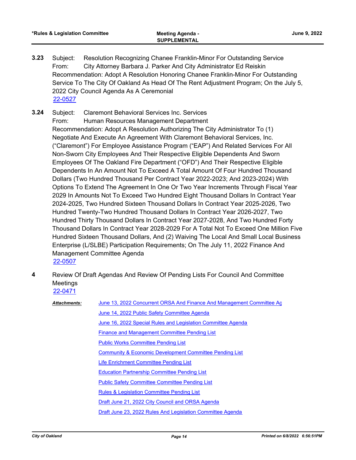- Subject: Resolution Recognizing Chanee Franklin-Minor For Outstanding Service From: City Attorney Barbara J. Parker And City Administrator Ed Reiskin Recommendation: Adopt A Resolution Honoring Chanee Franklin-Minor For Outstanding Service To The City Of Oakland As Head Of The Rent Adjustment Program; On the July 5, 2022 City Council Agenda As A Ceremonial **3.23** [22-0527](http://oakland.legistar.com/gateway.aspx?m=l&id=/matter.aspx?key=33447)
- Subject: Claremont Behavioral Services Inc. Services From: Human Resources Management Department Recommendation: Adopt A Resolution Authorizing The City Administrator To (1) Negotiate And Execute An Agreement With Claremont Behavioral Services, Inc. ("Claremont") For Employee Assistance Program ("EAP") And Related Services For All Non-Sworn City Employees And Their Respective Eligible Dependents And Sworn Employees Of The Oakland Fire Department ("OFD") And Their Respective Eligible Dependents In An Amount Not To Exceed A Total Amount Of Four Hundred Thousand Dollars (Two Hundred Thousand Per Contract Year 2022-2023; And 2023-2024) With Options To Extend The Agreement In One Or Two Year Increments Through Fiscal Year 2029 In Amounts Not To Exceed Two Hundred Eight Thousand Dollars In Contract Year 2024-2025, Two Hundred Sixteen Thousand Dollars In Contract Year 2025-2026, Two Hundred Twenty-Two Hundred Thousand Dollars In Contract Year 2026-2027, Two Hundred Thirty Thousand Dollars In Contract Year 2027-2028, And Two Hundred Forty Thousand Dollars In Contract Year 2028-2029 For A Total Not To Exceed One Million Five Hundred Sixteen Thousand Dollars, And (2) Waiving The Local And Small Local Business Enterprise (L/SLBE) Participation Requirements; On The July 11, 2022 Finance And Management Committee Agenda **3.24** [22-0507](http://oakland.legistar.com/gateway.aspx?m=l&id=/matter.aspx?key=33427)
- Review Of Draft Agendas And Review Of Pending Lists For Council And Committee Meetings **4** [22-0471](http://oakland.legistar.com/gateway.aspx?m=l&id=/matter.aspx?key=33392)

| <b>Attachments:</b> | June 13, 2022 Concurrent ORSA And Finance And Management Committee Ag                                                                                                                                                        |  |  |
|---------------------|------------------------------------------------------------------------------------------------------------------------------------------------------------------------------------------------------------------------------|--|--|
|                     |                                                                                                                                                                                                                              |  |  |
|                     | June 14, 2022 Public Safety Committee Agenda                                                                                                                                                                                 |  |  |
|                     | June 16, 2022 Special Rules and Legislation Committee Agenda                                                                                                                                                                 |  |  |
|                     | <b>Finance and Management Committee Pending List</b>                                                                                                                                                                         |  |  |
|                     | <b>Public Works Committee Pending List</b>                                                                                                                                                                                   |  |  |
|                     | <b>Community &amp; Economic Development Committee Pending List</b><br>Life Enrichment Committee Pending List<br><b>Education Partnership Committee Pending List</b><br><b>Public Safety Committee Committee Pending List</b> |  |  |
|                     |                                                                                                                                                                                                                              |  |  |
|                     |                                                                                                                                                                                                                              |  |  |
|                     |                                                                                                                                                                                                                              |  |  |
|                     | <b>Rules &amp; Legislation Committee Pending List</b>                                                                                                                                                                        |  |  |
|                     | Draft June 21, 2022 City Council and ORSA Agenda                                                                                                                                                                             |  |  |
|                     | Draft June 23, 2022 Rules And Legislation Committee Agenda                                                                                                                                                                   |  |  |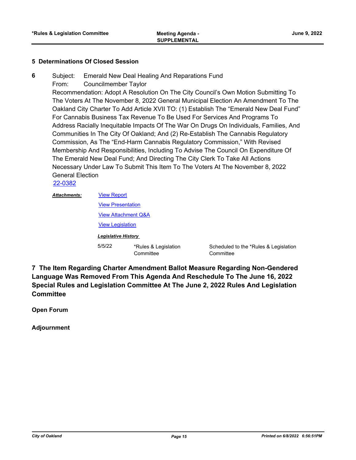#### **5 Determinations Of Closed Session**

Subject: Emerald New Deal Healing And Reparations Fund **6**

From: Councilmember Taylor

Recommendation: Adopt A Resolution On The City Council's Own Motion Submitting To The Voters At The November 8, 2022 General Municipal Election An Amendment To The Oakland City Charter To Add Article XVII TO: (1) Establish The "Emerald New Deal Fund" For Cannabis Business Tax Revenue To Be Used For Services And Programs To Address Racially Inequitable Impacts Of The War On Drugs On Individuals, Families, And Communities In The City Of Oakland; And (2) Re-Establish The Cannabis Regulatory Commission, As The "End-Harm Cannabis Regulatory Commission," With Revised Membership And Responsibilities, Including To Advise The Council On Expenditure Of The Emerald New Deal Fund; And Directing The City Clerk To Take All Actions Necessary Under Law To Submit This Item To The Voters At The November 8, 2022 General Election

[22-0382](http://oakland.legistar.com/gateway.aspx?m=l&id=/matter.aspx?key=33303)

| <b>Attachments:</b> | <b>View Report</b>             |                                   |                 |
|---------------------|--------------------------------|-----------------------------------|-----------------|
|                     | <b>View Presentation</b>       |                                   |                 |
|                     | <b>View Attachment Q&amp;A</b> |                                   |                 |
|                     | <b>View Legislation</b>        |                                   |                 |
|                     | <b>Legislative History</b>     |                                   |                 |
|                     | 5/5/22                         | *Rules & Legislation<br>Committee | Schedu<br>Commi |

Iled to the \*Rules & Legislation ittee

**7 The Item Regarding Charter Amendment Ballot Measure Regarding Non-Gendered Language Was Removed From This Agenda And Reschedule To The June 16, 2022 Special Rules and Legislation Committee At The June 2, 2022 Rules And Legislation Committee**

**Open Forum**

**Adjournment**